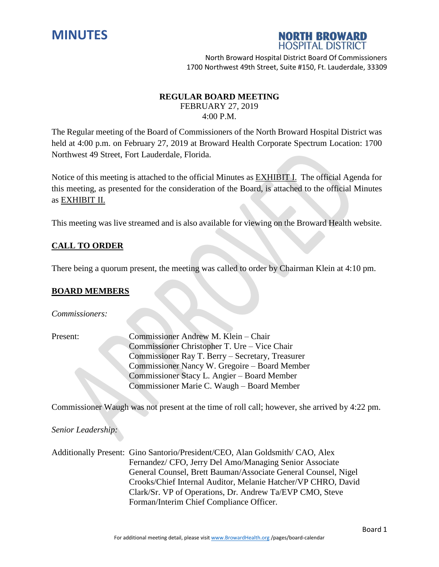



### **REGULAR BOARD MEETING**

FEBRUARY 27, 2019 4:00 P.M.

The Regular meeting of the Board of Commissioners of the North Broward Hospital District was held at 4:00 p.m. on February 27, 2019 at Broward Health Corporate Spectrum Location: 1700 Northwest 49 Street, Fort Lauderdale, Florida.

Notice of this meeting is attached to the official Minutes as EXHIBIT I. The official Agenda for this meeting, as presented for the consideration of the Board, is attached to the official Minutes as EXHIBIT II.

This meeting was live streamed and is also available for viewing on the Broward Health website.

### **CALL TO ORDER**

There being a quorum present, the meeting was called to order by Chairman Klein at 4:10 pm.

#### **BOARD MEMBERS**

*Commissioners:*

Present: Commissioner Andrew M. Klein – Chair Commissioner Christopher T. Ure – Vice Chair Commissioner Ray T. Berry – Secretary, Treasurer Commissioner Nancy W. Gregoire – Board Member Commissioner Stacy L. Angier – Board Member Commissioner Marie C. Waugh – Board Member

Commissioner Waugh was not present at the time of roll call; however, she arrived by 4:22 pm.

*Senior Leadership:*

Additionally Present: Gino Santorio/President/CEO, Alan Goldsmith/ CAO, Alex Fernandez/ CFO, Jerry Del Amo/Managing Senior Associate General Counsel, Brett Bauman/Associate General Counsel, Nigel Crooks/Chief Internal Auditor, Melanie Hatcher/VP CHRO, David Clark/Sr. VP of Operations, Dr. Andrew Ta/EVP CMO, Steve Forman/Interim Chief Compliance Officer.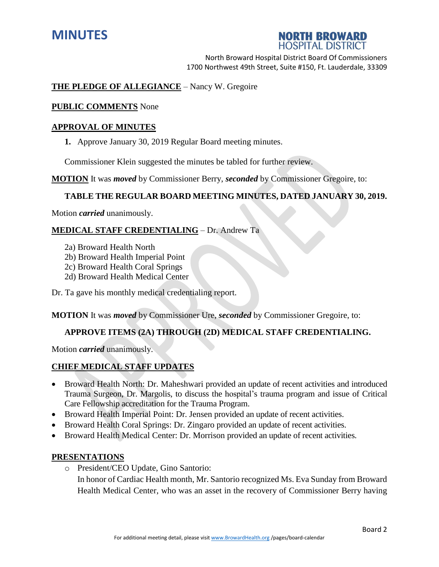



### **THE PLEDGE OF ALLEGIANCE** – Nancy W. Gregoire

#### **PUBLIC COMMENTS** None

#### **APPROVAL OF MINUTES**

**1.** Approve January 30, 2019 Regular Board meeting minutes.

Commissioner Klein suggested the minutes be tabled for further review.

**MOTION** It was *moved* by Commissioner Berry, *seconded* by Commissioner Gregoire, to:

### **TABLE THE REGULAR BOARD MEETING MINUTES, DATED JANUARY 30, 2019.**

Motion *carried* unanimously.

### **MEDICAL STAFF CREDENTIALING** – Dr. Andrew Ta

- 2a) Broward Health North
- 2b) Broward Health Imperial Point
- 2c) Broward Health Coral Springs
- 2d) Broward Health Medical Center

Dr. Ta gave his monthly medical credentialing report.

**MOTION** It was *moved* by Commissioner Ure, *seconded* by Commissioner Gregoire, to:

## **APPROVE ITEMS (2A) THROUGH (2D) MEDICAL STAFF CREDENTIALING.**

Motion *carried* unanimously.

### **CHIEF MEDICAL STAFF UPDATES**

- Broward Health North: Dr. Maheshwari provided an update of recent activities and introduced Trauma Surgeon, Dr. Margolis, to discuss the hospital's trauma program and issue of Critical Care Fellowship accreditation for the Trauma Program.
- Broward Health Imperial Point: Dr. Jensen provided an update of recent activities.
- Broward Health Coral Springs: Dr. Zingaro provided an update of recent activities.
- Broward Health Medical Center: Dr. Morrison provided an update of recent activities.

#### **PRESENTATIONS**

o President/CEO Update, Gino Santorio:

In honor of Cardiac Health month, Mr. Santorio recognized Ms. Eva Sunday from Broward Health Medical Center, who was an asset in the recovery of Commissioner Berry having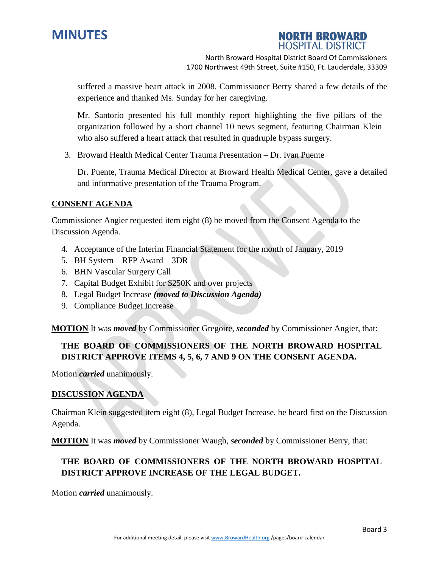



suffered a massive heart attack in 2008. Commissioner Berry shared a few details of the experience and thanked Ms. Sunday for her caregiving.

Mr. Santorio presented his full monthly report highlighting the five pillars of the organization followed by a short channel 10 news segment, featuring Chairman Klein who also suffered a heart attack that resulted in quadruple bypass surgery.

3. Broward Health Medical Center Trauma Presentation – Dr. Ivan Puente

Dr. Puente, Trauma Medical Director at Broward Health Medical Center, gave a detailed and informative presentation of the Trauma Program.

#### **CONSENT AGENDA**

Commissioner Angier requested item eight (8) be moved from the Consent Agenda to the Discussion Agenda.

- 4. Acceptance of the Interim Financial Statement for the month of January, 2019
- 5. BH System RFP Award 3DR
- 6. BHN Vascular Surgery Call
- 7. Capital Budget Exhibit for \$250K and over projects
- 8. Legal Budget Increase *(moved to Discussion Agenda)*
- 9. Compliance Budget Increase

**MOTION** It was *moved* by Commissioner Gregoire, *seconded* by Commissioner Angier, that:

## **THE BOARD OF COMMISSIONERS OF THE NORTH BROWARD HOSPITAL DISTRICT APPROVE ITEMS 4, 5, 6, 7 AND 9 ON THE CONSENT AGENDA.**

Motion *carried* unanimously.

### **DISCUSSION AGENDA**

Chairman Klein suggested item eight (8), Legal Budget Increase, be heard first on the Discussion Agenda.

**MOTION** It was *moved* by Commissioner Waugh, *seconded* by Commissioner Berry, that:

## **THE BOARD OF COMMISSIONERS OF THE NORTH BROWARD HOSPITAL DISTRICT APPROVE INCREASE OF THE LEGAL BUDGET.**

Motion *carried* unanimously.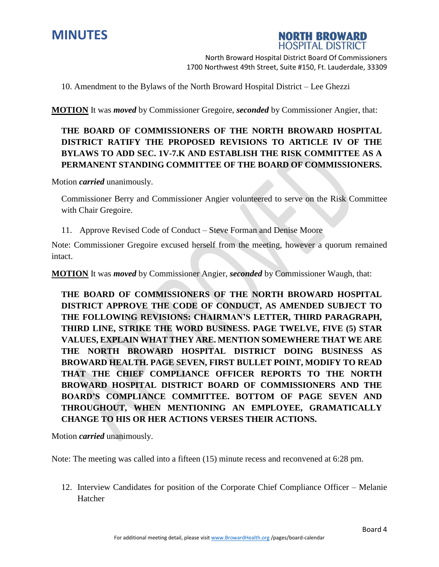



10. Amendment to the Bylaws of the North Broward Hospital District – Lee Ghezzi

**MOTION** It was *moved* by Commissioner Gregoire, *seconded* by Commissioner Angier, that:

**THE BOARD OF COMMISSIONERS OF THE NORTH BROWARD HOSPITAL DISTRICT RATIFY THE PROPOSED REVISIONS TO ARTICLE IV OF THE BYLAWS TO ADD SEC. 1V-7.K AND ESTABLISH THE RISK COMMITTEE AS A PERMANENT STANDING COMMITTEE OF THE BOARD OF COMMISSIONERS.**

Motion *carried* unanimously.

Commissioner Berry and Commissioner Angier volunteered to serve on the Risk Committee with Chair Gregoire.

11. Approve Revised Code of Conduct – Steve Forman and Denise Moore

Note: Commissioner Gregoire excused herself from the meeting, however a quorum remained intact.

**MOTION** It was *moved* by Commissioner Angier, *seconded* by Commissioner Waugh, that:

**THE BOARD OF COMMISSIONERS OF THE NORTH BROWARD HOSPITAL DISTRICT APPROVE THE CODE OF CONDUCT, AS AMENDED SUBJECT TO THE FOLLOWING REVISIONS: CHAIRMAN'S LETTER, THIRD PARAGRAPH, THIRD LINE, STRIKE THE WORD BUSINESS. PAGE TWELVE, FIVE (5) STAR VALUES, EXPLAIN WHAT THEY ARE. MENTION SOMEWHERE THAT WE ARE THE NORTH BROWARD HOSPITAL DISTRICT DOING BUSINESS AS BROWARD HEALTH. PAGE SEVEN, FIRST BULLET POINT, MODIFY TO READ THAT THE CHIEF COMPLIANCE OFFICER REPORTS TO THE NORTH BROWARD HOSPITAL DISTRICT BOARD OF COMMISSIONERS AND THE BOARD'S COMPLIANCE COMMITTEE. BOTTOM OF PAGE SEVEN AND THROUGHOUT, WHEN MENTIONING AN EMPLOYEE, GRAMATICALLY CHANGE TO HIS OR HER ACTIONS VERSES THEIR ACTIONS.**

Motion *carried* unanimously.

Note: The meeting was called into a fifteen (15) minute recess and reconvened at 6:28 pm.

12. Interview Candidates for position of the Corporate Chief Compliance Officer – Melanie Hatcher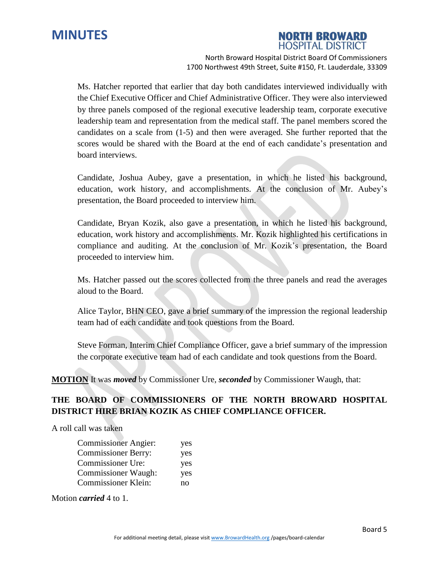

## **NORTH BROWARD HOSPITAL DISTRICT**

North Broward Hospital District Board Of Commissioners 1700 Northwest 49th Street, Suite #150, Ft. Lauderdale, 33309

Ms. Hatcher reported that earlier that day both candidates interviewed individually with the Chief Executive Officer and Chief Administrative Officer. They were also interviewed by three panels composed of the regional executive leadership team, corporate executive leadership team and representation from the medical staff. The panel members scored the candidates on a scale from (1-5) and then were averaged. She further reported that the scores would be shared with the Board at the end of each candidate's presentation and board interviews.

Candidate, Joshua Aubey, gave a presentation, in which he listed his background, education, work history, and accomplishments. At the conclusion of Mr. Aubey's presentation, the Board proceeded to interview him.

Candidate, Bryan Kozik, also gave a presentation, in which he listed his background, education, work history and accomplishments. Mr. Kozik highlighted his certifications in compliance and auditing. At the conclusion of Mr. Kozik's presentation, the Board proceeded to interview him.

Ms. Hatcher passed out the scores collected from the three panels and read the averages aloud to the Board.

Alice Taylor, BHN CEO, gave a brief summary of the impression the regional leadership team had of each candidate and took questions from the Board.

Steve Forman, Interim Chief Compliance Officer, gave a brief summary of the impression the corporate executive team had of each candidate and took questions from the Board.

**MOTION** It was *moved* by Commissioner Ure, *seconded* by Commissioner Waugh, that:

# **THE BOARD OF COMMISSIONERS OF THE NORTH BROWARD HOSPITAL DISTRICT HIRE BRIAN KOZIK AS CHIEF COMPLIANCE OFFICER.**

A roll call was taken

| <b>Commissioner Angier:</b> | yes |
|-----------------------------|-----|
| <b>Commissioner Berry:</b>  | yes |
| Commissioner Ure:           | yes |
| <b>Commissioner Waugh:</b>  | yes |
| <b>Commissioner Klein:</b>  | no  |

Motion *carried* 4 to 1.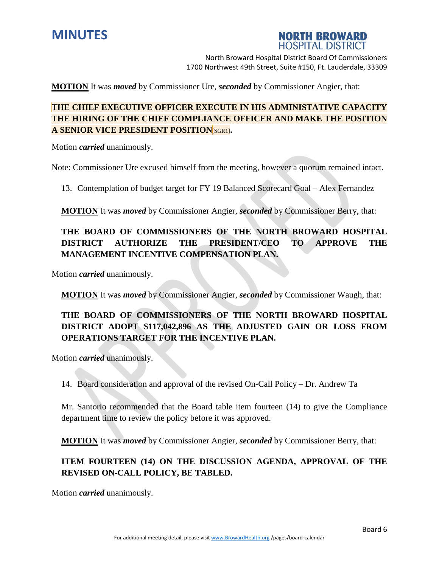



**MOTION** It was *moved* by Commissioner Ure, *seconded* by Commissioner Angier, that:

# **THE CHIEF EXECUTIVE OFFICER EXECUTE IN HIS ADMINISTATIVE CAPACITY THE HIRING OF THE CHIEF COMPLIANCE OFFICER AND MAKE THE POSITION A SENIOR VICE PRESIDENT POSITION**[SGR1]**.**

Motion *carried* unanimously.

Note: Commissioner Ure excused himself from the meeting, however a quorum remained intact.

13. Contemplation of budget target for FY 19 Balanced Scorecard Goal – Alex Fernandez

**MOTION** It was *moved* by Commissioner Angier, *seconded* by Commissioner Berry, that:

# **THE BOARD OF COMMISSIONERS OF THE NORTH BROWARD HOSPITAL DISTRICT AUTHORIZE THE PRESIDENT/CEO TO APPROVE THE MANAGEMENT INCENTIVE COMPENSATION PLAN.**

Motion *carried* unanimously.

**MOTION** It was *moved* by Commissioner Angier, *seconded* by Commissioner Waugh, that:

# **THE BOARD OF COMMISSIONERS OF THE NORTH BROWARD HOSPITAL DISTRICT ADOPT \$117,042,896 AS THE ADJUSTED GAIN OR LOSS FROM OPERATIONS TARGET FOR THE INCENTIVE PLAN.**

Motion *carried* unanimously.

14. Board consideration and approval of the revised On-Call Policy – Dr. Andrew Ta

Mr. Santorio recommended that the Board table item fourteen (14) to give the Compliance department time to review the policy before it was approved.

**MOTION** It was *moved* by Commissioner Angier, *seconded* by Commissioner Berry, that:

## **ITEM FOURTEEN (14) ON THE DISCUSSION AGENDA, APPROVAL OF THE REVISED ON-CALL POLICY, BE TABLED.**

Motion *carried* unanimously.